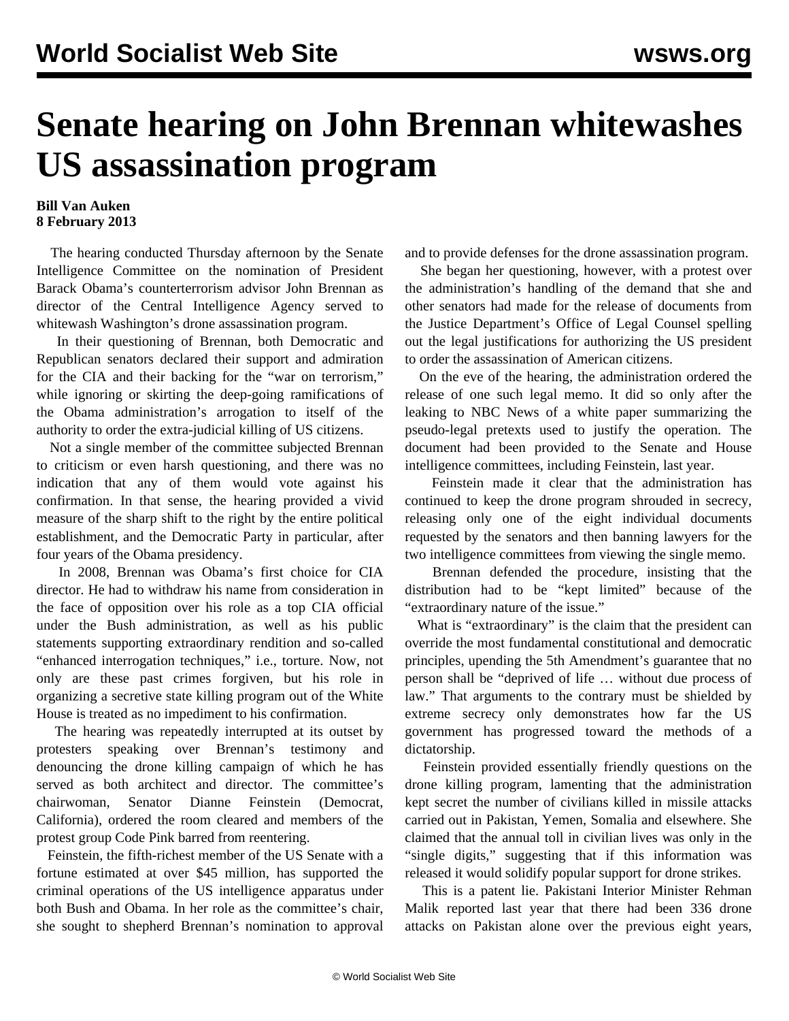## **Senate hearing on John Brennan whitewashes US assassination program**

## **Bill Van Auken 8 February 2013**

 The hearing conducted Thursday afternoon by the Senate Intelligence Committee on the nomination of President Barack Obama's counterterrorism advisor John Brennan as director of the Central Intelligence Agency served to whitewash Washington's drone assassination program.

 In their questioning of Brennan, both Democratic and Republican senators declared their support and admiration for the CIA and their backing for the "war on terrorism," while ignoring or skirting the deep-going ramifications of the Obama administration's arrogation to itself of the authority to order the extra-judicial killing of US citizens.

 Not a single member of the committee subjected Brennan to criticism or even harsh questioning, and there was no indication that any of them would vote against his confirmation. In that sense, the hearing provided a vivid measure of the sharp shift to the right by the entire political establishment, and the Democratic Party in particular, after four years of the Obama presidency.

 In 2008, Brennan was Obama's first choice for CIA director. He had to withdraw his name from consideration in the face of opposition over his role as a top CIA official under the Bush administration, as well as his public statements supporting extraordinary rendition and so-called "enhanced interrogation techniques," i.e., torture. Now, not only are these past crimes forgiven, but his role in organizing a secretive state killing program out of the White House is treated as no impediment to his confirmation.

 The hearing was repeatedly interrupted at its outset by protesters speaking over Brennan's testimony and denouncing the drone killing campaign of which he has served as both architect and director. The committee's chairwoman, Senator Dianne Feinstein (Democrat, California), ordered the room cleared and members of the protest group Code Pink barred from reentering.

 Feinstein, the fifth-richest member of the US Senate with a fortune estimated at over \$45 million, has supported the criminal operations of the US intelligence apparatus under both Bush and Obama. In her role as the committee's chair, she sought to shepherd Brennan's nomination to approval and to provide defenses for the drone assassination program.

 She began her questioning, however, with a protest over the administration's handling of the demand that she and other senators had made for the release of documents from the Justice Department's Office of Legal Counsel spelling out the legal justifications for authorizing the US president to order the assassination of American citizens.

 On the eve of the hearing, the administration ordered the release of one such legal memo. It did so only after the leaking to NBC News of a white paper summarizing the pseudo-legal pretexts used to justify the operation. The document had been provided to the Senate and House intelligence committees, including Feinstein, last year.

 Feinstein made it clear that the administration has continued to keep the drone program shrouded in secrecy, releasing only one of the eight individual documents requested by the senators and then banning lawyers for the two intelligence committees from viewing the single memo.

 Brennan defended the procedure, insisting that the distribution had to be "kept limited" because of the "extraordinary nature of the issue."

 What is "extraordinary" is the claim that the president can override the most fundamental constitutional and democratic principles, upending the 5th Amendment's guarantee that no person shall be "deprived of life … without due process of law." That arguments to the contrary must be shielded by extreme secrecy only demonstrates how far the US government has progressed toward the methods of a dictatorship.

 Feinstein provided essentially friendly questions on the drone killing program, lamenting that the administration kept secret the number of civilians killed in missile attacks carried out in Pakistan, Yemen, Somalia and elsewhere. She claimed that the annual toll in civilian lives was only in the "single digits," suggesting that if this information was released it would solidify popular support for drone strikes.

 This is a patent lie. Pakistani Interior Minister Rehman Malik reported last year that there had been 336 drone attacks on Pakistan alone over the previous eight years,